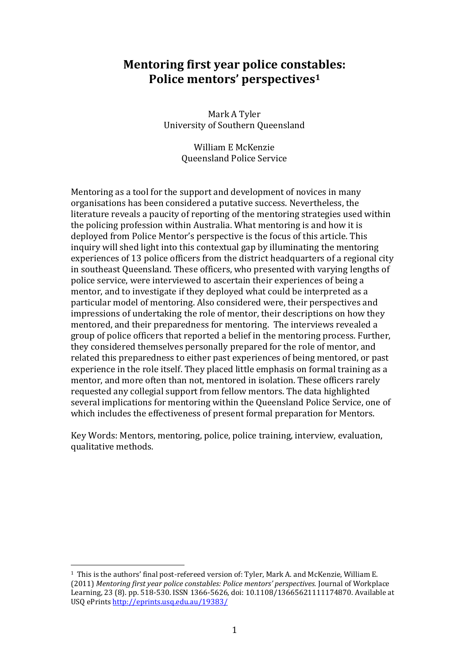# **Mentoring first year police constables: Police mentors' perspectives<sup>1</sup>**

Mark A Tyler University of Southern Queensland

> William E McKenzie Queensland Police Service

Mentoring as a tool for the support and development of novices in many organisations has been considered a putative success. Nevertheless, the literature reveals a paucity of reporting of the mentoring strategies used within the policing profession within Australia. What mentoring is and how it is deployed from Police Mentor's perspective is the focus of this article. This inquiry will shed light into this contextual gap by illuminating the mentoring experiences of 13 police officers from the district headquarters of a regional city in southeast Queensland. These officers, who presented with varying lengths of police service, were interviewed to ascertain their experiences of being a mentor, and to investigate if they deployed what could be interpreted as a particular model of mentoring. Also considered were, their perspectives and impressions of undertaking the role of mentor, their descriptions on how they mentored, and their preparedness for mentoring. The interviews revealed a group of police officers that reported a belief in the mentoring process. Further, they considered themselves personally prepared for the role of mentor, and related this preparedness to either past experiences of being mentored, or past experience in the role itself. They placed little emphasis on formal training as a mentor, and more often than not, mentored in isolation. These officers rarely requested any collegial support from fellow mentors. The data highlighted several implications for mentoring within the Queensland Police Service, one of which includes the effectiveness of present formal preparation for Mentors.

Key Words: Mentors, mentoring, police, police training, interview, evaluation, qualitative methods.

 $\overline{\phantom{a}}$ 

<sup>1</sup> This is the authors' final post-refereed version of: Tyler, Mark A. and McKenzie, William E. (2011) *Mentoring first year police constables: Police mentors' perspectives.* Journal of Workplace Learning, 23 (8). pp. 518-530. ISSN 1366-5626, doi: 10.1108/13665621111174870. Available at USQ ePrints<http://eprints.usq.edu.au/19383/>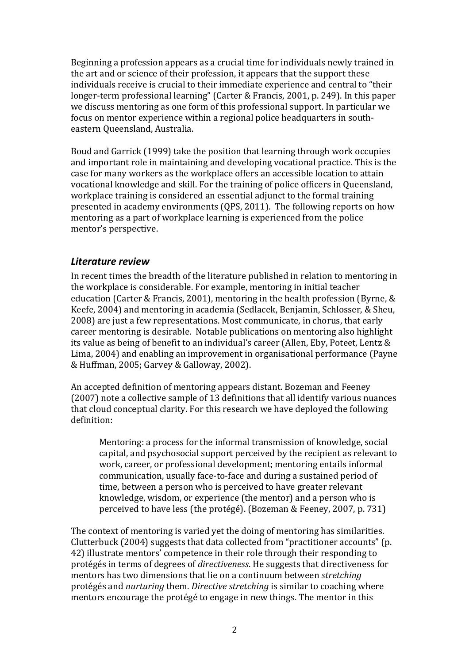Beginning a profession appears as a crucial time for individuals newly trained in the art and or science of their profession, it appears that the support these individuals receive is crucial to their immediate experience and central to "their longer-term professional learning" (Carter & Francis, 2001, p. 249). In this paper we discuss mentoring as one form of this professional support. In particular we focus on mentor experience within a regional police headquarters in southeastern Queensland, Australia.

Boud and Garrick (1999) take the position that learning through work occupies and important role in maintaining and developing vocational practice. This is the case for many workers as the workplace offers an accessible location to attain vocational knowledge and skill. For the training of police officers in Queensland, workplace training is considered an essential adjunct to the formal training presented in academy environments (QPS, 2011). The following reports on how mentoring as a part of workplace learning is experienced from the police mentor's perspective.

#### *Literature review*

In recent times the breadth of the literature published in relation to mentoring in the workplace is considerable. For example, mentoring in initial teacher education (Carter & Francis, 2001), mentoring in the health profession (Byrne, & Keefe, 2004) and mentoring in academia (Sedlacek, Benjamin, Schlosser, & Sheu, 2008) are just a few representations. Most communicate, in chorus, that early career mentoring is desirable. Notable publications on mentoring also highlight its value as being of benefit to an individual's career (Allen, Eby, Poteet, Lentz & Lima, 2004) and enabling an improvement in organisational performance (Payne & Huffman, 2005; Garvey & Galloway, 2002).

An accepted definition of mentoring appears distant. Bozeman and Feeney (2007) note a collective sample of 13 definitions that all identify various nuances that cloud conceptual clarity. For this research we have deployed the following definition:

Mentoring: a process for the informal transmission of knowledge, social capital, and psychosocial support perceived by the recipient as relevant to work, career, or professional development; mentoring entails informal communication, usually face-to-face and during a sustained period of time, between a person who is perceived to have greater relevant knowledge, wisdom, or experience (the mentor) and a person who is perceived to have less (the protégé). (Bozeman & Feeney, 2007, p. 731)

The context of mentoring is varied yet the doing of mentoring has similarities. Clutterbuck (2004) suggests that data collected from "practitioner accounts" (p. 42) illustrate mentors' competence in their role through their responding to protégés in terms of degrees of *directiveness*. He suggests that directiveness for mentors has two dimensions that lie on a continuum between *stretching* protégés and *nurturing* them. *Directive stretching* is similar to coaching where mentors encourage the protégé to engage in new things. The mentor in this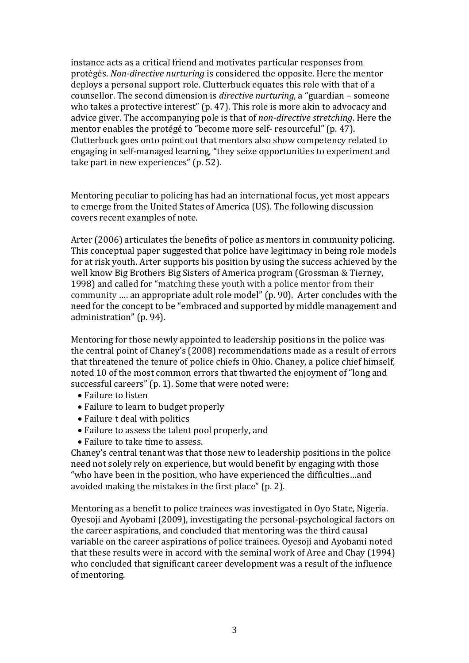instance acts as a critical friend and motivates particular responses from protégés. *Non-directive nurturing* is considered the opposite. Here the mentor deploys a personal support role. Clutterbuck equates this role with that of a counsellor. The second dimension is *directive nurturing*, a "guardian – someone who takes a protective interest" (p. 47). This role is more akin to advocacy and advice giver. The accompanying pole is that of *non-directive stretching*. Here the mentor enables the protégé to "become more self- resourceful" (p. 47). Clutterbuck goes onto point out that mentors also show competency related to engaging in self-managed learning, "they seize opportunities to experiment and take part in new experiences" (p. 52).

Mentoring peculiar to policing has had an international focus, yet most appears to emerge from the United States of America (US). The following discussion covers recent examples of note.

Arter (2006) articulates the benefits of police as mentors in community policing. This conceptual paper suggested that police have legitimacy in being role models for at risk youth. Arter supports his position by using the success achieved by the well know Big Brothers Big Sisters of America program (Grossman & Tierney, 1998) and called for "matching these youth with a police mentor from their community …. an appropriate adult role model" (p. 90). Arter concludes with the need for the concept to be "embraced and supported by middle management and administration" (p. 94).

Mentoring for those newly appointed to leadership positions in the police was the central point of Chaney's (2008) recommendations made as a result of errors that threatened the tenure of police chiefs in Ohio. Chaney, a police chief himself, noted 10 of the most common errors that thwarted the enjoyment of "long and successful careers" (p. 1). Some that were noted were:

- Failure to listen
- Failure to learn to budget properly
- Failure t deal with politics
- Failure to assess the talent pool properly, and
- Failure to take time to assess.

Chaney's central tenant was that those new to leadership positions in the police need not solely rely on experience, but would benefit by engaging with those "who have been in the position, who have experienced the difficulties…and avoided making the mistakes in the first place" (p. 2).

Mentoring as a benefit to police trainees was investigated in Oyo State, Nigeria. Oyesoji and Ayobami (2009), investigating the personal-psychological factors on the career aspirations, and concluded that mentoring was the third causal variable on the career aspirations of police trainees. Oyesoji and Ayobami noted that these results were in accord with the seminal work of Aree and Chay (1994) who concluded that significant career development was a result of the influence of mentoring.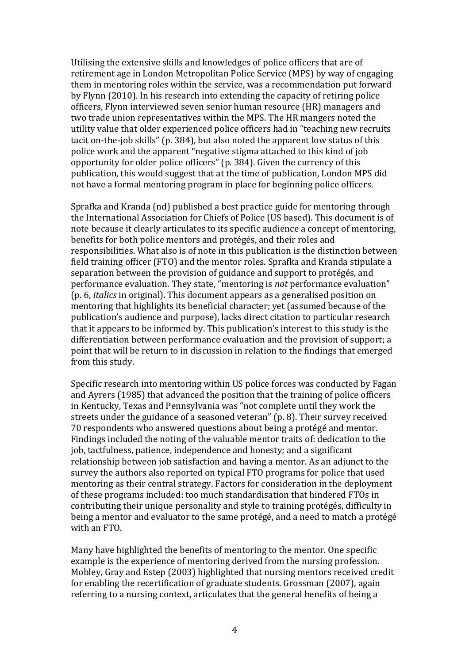Utilising the extensive skills and knowledges of police officers that are of retirement age in London Metropolitan Police Service (MPS) by way of engaging them in mentoring roles within the service, was a recommendation put forward by Flynn (2010). In his research into extending the capacity of retiring police officers, Flynn interviewed seven senior human resource (HR) managers and two trade union representatives within the MPS. The HR mangers noted the utility value that older experienced police officers had in "teaching new recruits tacit on-the-job skills" (p. 384), but also noted the apparent low status of this police work and the apparent "negative stigma attached to this kind of job opportunity for older police officers" (p. 384). Given the currency of this publication, this would suggest that at the time of publication, London MPS did not have a formal mentoring program in place for beginning police officers.

Sprafka and Kranda (nd) published a best practice guide for mentoring through the International Association for Chiefs of Police (US based). This document is of note because it clearly articulates to its specific audience a concept of mentoring, benefits for both police mentors and protégés, and their roles and responsibilities. What also is of note in this publication is the distinction between field training officer (FTO) and the mentor roles. Sprafka and Kranda stipulate a separation between the provision of guidance and support to protégés, and performance evaluation. They state, "mentoring is *not* performance evaluation" (p. 6, *italics* in original). This document appears as a generalised position on mentoring that highlights its beneficial character; yet (assumed because of the publication's audience and purpose), lacks direct citation to particular research that it appears to be informed by. This publication's interest to this study is the differentiation between performance evaluation and the provision of support; a point that will be return to in discussion in relation to the findings that emerged from this study.

Specific research into mentoring within US police forces was conducted by Fagan and Ayrers (1985) that advanced the position that the training of police officers in Kentucky, Texas and Pennsylvania was "not complete until they work the streets under the guidance of a seasoned veteran" (p. 8). Their survey received 70 respondents who answered questions about being a protégé and mentor. Findings included the noting of the valuable mentor traits of: dedication to the job, tactfulness, patience, independence and honesty; and a significant relationship between job satisfaction and having a mentor. As an adjunct to the survey the authors also reported on typical FTO programs for police that used mentoring as their central strategy. Factors for consideration in the deployment of these programs included: too much standardisation that hindered FTOs in contributing their unique personality and style to training protégés, difficulty in being a mentor and evaluator to the same protégé, and a need to match a protégé with an FTO.

Many have highlighted the benefits of mentoring to the mentor. One specific example is the experience of mentoring derived from the nursing profession. Mobley, Gray and Estep (2003) highlighted that nursing mentors received credit for enabling the recertification of graduate students. Grossman (2007), again referring to a nursing context, articulates that the general benefits of being a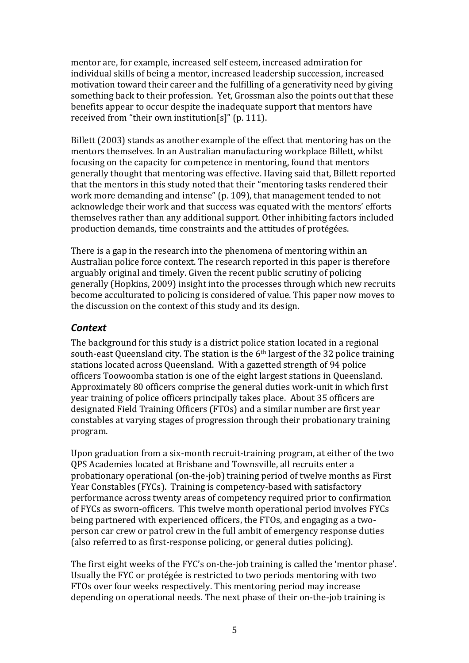mentor are, for example, increased self esteem, increased admiration for individual skills of being a mentor, increased leadership succession, increased motivation toward their career and the fulfilling of a generativity need by giving something back to their profession. Yet, Grossman also the points out that these benefits appear to occur despite the inadequate support that mentors have received from "their own institution[s]" (p. 111).

Billett (2003) stands as another example of the effect that mentoring has on the mentors themselves. In an Australian manufacturing workplace Billett, whilst focusing on the capacity for competence in mentoring, found that mentors generally thought that mentoring was effective. Having said that, Billett reported that the mentors in this study noted that their "mentoring tasks rendered their work more demanding and intense" (p. 109), that management tended to not acknowledge their work and that success was equated with the mentors' efforts themselves rather than any additional support. Other inhibiting factors included production demands, time constraints and the attitudes of protégées.

There is a gap in the research into the phenomena of mentoring within an Australian police force context. The research reported in this paper is therefore arguably original and timely. Given the recent public scrutiny of policing generally (Hopkins, 2009) insight into the processes through which new recruits become acculturated to policing is considered of value. This paper now moves to the discussion on the context of this study and its design.

## *Context*

The background for this study is a district police station located in a regional south-east Queensland city. The station is the 6<sup>th</sup> largest of the 32 police training stations located across Queensland. With a gazetted strength of 94 police officers Toowoomba station is one of the eight largest stations in Queensland. Approximately 80 officers comprise the general duties work-unit in which first year training of police officers principally takes place. About 35 officers are designated Field Training Officers (FTOs) and a similar number are first year constables at varying stages of progression through their probationary training program.

Upon graduation from a six-month recruit-training program, at either of the two QPS Academies located at Brisbane and Townsville, all recruits enter a probationary operational (on-the-job) training period of twelve months as First Year Constables (FYCs). Training is competency-based with satisfactory performance across twenty areas of competency required prior to confirmation of FYCs as sworn-officers. This twelve month operational period involves FYCs being partnered with experienced officers, the FTOs, and engaging as a twoperson car crew or patrol crew in the full ambit of emergency response duties (also referred to as first-response policing, or general duties policing).

The first eight weeks of the FYC's on-the-job training is called the 'mentor phase'. Usually the FYC or protégée is restricted to two periods mentoring with two FTOs over four weeks respectively. This mentoring period may increase depending on operational needs. The next phase of their on-the-job training is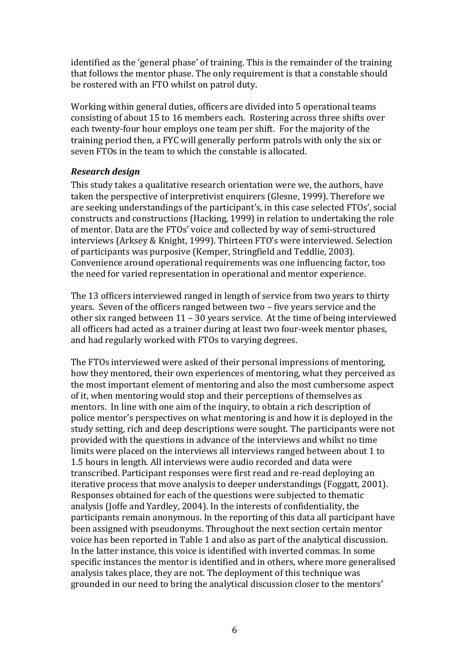identified as the 'general phase' of training. This is the remainder of the training that follows the mentor phase. The only requirement is that a constable should be rostered with an FTO whilst on patrol duty.

Working within general duties, officers are divided into 5 operational teams consisting of about 15 to 16 members each. Rostering across three shifts over each twenty-four hour employs one team per shift. For the majority of the training period then, a FYC will generally perform patrols with only the six or seven FTOs in the team to which the constable is allocated.

#### *Research design*

This study takes a qualitative research orientation were we, the authors, have taken the perspective of interpretivist enquirers (Glesne, 1999). Therefore we are seeking understandings of the participant's, in this case selected FTOs', social constructs and constructions (Hacking, 1999) in relation to undertaking the role of mentor. Data are the FTOs' voice and collected by way of semi-structured interviews (Arksey & Knight, 1999). Thirteen FTO's were interviewed. Selection of participants was purposive (Kemper, Stringfield and Teddlie, 2003). Convenience around operational requirements was one influencing factor, too the need for varied representation in operational and mentor experience.

The 13 officers interviewed ranged in length of service from two years to thirty years. Seven of the officers ranged between two – five years service and the other six ranged between 11 – 30 years service. At the time of being interviewed all officers had acted as a trainer during at least two four-week mentor phases, and had regularly worked with FTOs to varying degrees.

The FTOs interviewed were asked of their personal impressions of mentoring, how they mentored, their own experiences of mentoring, what they perceived as the most important element of mentoring and also the most cumbersome aspect of it, when mentoring would stop and their perceptions of themselves as mentors. In line with one aim of the inquiry, to obtain a rich description of police mentor's perspectives on what mentoring is and how it is deployed in the study setting, rich and deep descriptions were sought. The participants were not provided with the questions in advance of the interviews and whilst no time limits were placed on the interviews all interviews ranged between about 1 to 1.5 hours in length. All interviews were audio recorded and data were transcribed. Participant responses were first read and re-read deploying an iterative process that move analysis to deeper understandings (Foggatt, 2001). Responses obtained for each of the questions were subjected to thematic analysis (Joffe and Yardley, 2004). In the interests of confidentiality, the participants remain anonymous. In the reporting of this data all participant have been assigned with pseudonyms. Throughout the next section certain mentor voice has been reported in Table 1 and also as part of the analytical discussion. In the latter instance, this voice is identified with inverted commas. In some specific instances the mentor is identified and in others, where more generalised analysis takes place, they are not. The deployment of this technique was grounded in our need to bring the analytical discussion closer to the mentors'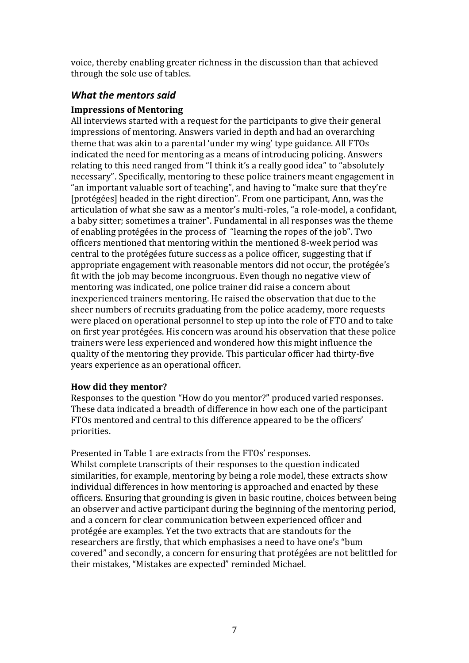voice, thereby enabling greater richness in the discussion than that achieved through the sole use of tables.

## *What the mentors said*

### **Impressions of Mentoring**

All interviews started with a request for the participants to give their general impressions of mentoring. Answers varied in depth and had an overarching theme that was akin to a parental 'under my wing' type guidance. All FTOs indicated the need for mentoring as a means of introducing policing. Answers relating to this need ranged from "I think it's a really good idea" to "absolutely necessary". Specifically, mentoring to these police trainers meant engagement in "an important valuable sort of teaching", and having to "make sure that they're [protégées] headed in the right direction". From one participant, Ann, was the articulation of what she saw as a mentor's multi-roles, "a role-model, a confidant, a baby sitter; sometimes a trainer". Fundamental in all responses was the theme of enabling protégées in the process of "learning the ropes of the job". Two officers mentioned that mentoring within the mentioned 8-week period was central to the protégées future success as a police officer, suggesting that if appropriate engagement with reasonable mentors did not occur, the protégée's fit with the job may become incongruous. Even though no negative view of mentoring was indicated, one police trainer did raise a concern about inexperienced trainers mentoring. He raised the observation that due to the sheer numbers of recruits graduating from the police academy, more requests were placed on operational personnel to step up into the role of FTO and to take on first year protégées. His concern was around his observation that these police trainers were less experienced and wondered how this might influence the quality of the mentoring they provide. This particular officer had thirty-five years experience as an operational officer.

#### **How did they mentor?**

Responses to the question "How do you mentor?" produced varied responses. These data indicated a breadth of difference in how each one of the participant FTOs mentored and central to this difference appeared to be the officers' priorities.

Presented in Table 1 are extracts from the FTOs' responses. Whilst complete transcripts of their responses to the question indicated similarities, for example, mentoring by being a role model, these extracts show individual differences in how mentoring is approached and enacted by these officers. Ensuring that grounding is given in basic routine, choices between being an observer and active participant during the beginning of the mentoring period, and a concern for clear communication between experienced officer and protégée are examples. Yet the two extracts that are standouts for the researchers are firstly, that which emphasises a need to have one's "bum covered" and secondly, a concern for ensuring that protégées are not belittled for their mistakes, "Mistakes are expected" reminded Michael.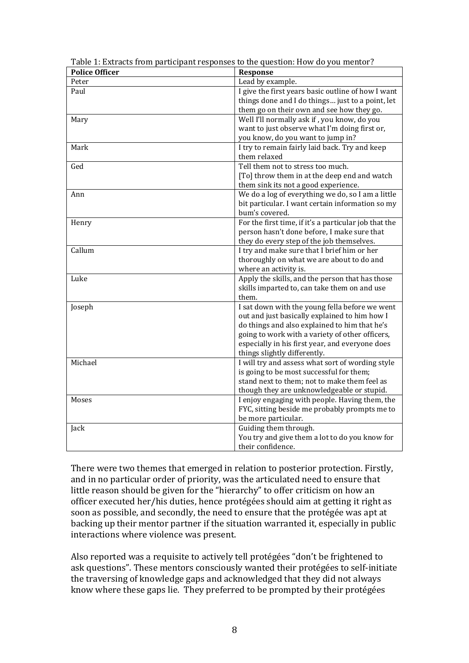| <b>Police Officer</b> | Response                                                                                                                                                                                                                                                                               |
|-----------------------|----------------------------------------------------------------------------------------------------------------------------------------------------------------------------------------------------------------------------------------------------------------------------------------|
| Peter                 | Lead by example.                                                                                                                                                                                                                                                                       |
| Paul                  | I give the first years basic outline of how I want<br>things done and I do things just to a point, let<br>them go on their own and see how they go.                                                                                                                                    |
| Mary                  | Well I'll normally ask if, you know, do you<br>want to just observe what I'm doing first or,<br>you know, do you want to jump in?                                                                                                                                                      |
| Mark                  | I try to remain fairly laid back. Try and keep<br>them relaxed                                                                                                                                                                                                                         |
| Ged                   | Tell them not to stress too much.<br>[To] throw them in at the deep end and watch<br>them sink its not a good experience.                                                                                                                                                              |
| Ann                   | We do a log of everything we do, so I am a little<br>bit particular. I want certain information so my<br>bum's covered.                                                                                                                                                                |
| Henry                 | For the first time, if it's a particular job that the<br>person hasn't done before, I make sure that<br>they do every step of the job themselves.                                                                                                                                      |
| Callum                | I try and make sure that I brief him or her<br>thoroughly on what we are about to do and<br>where an activity is.                                                                                                                                                                      |
| Luke                  | Apply the skills, and the person that has those<br>skills imparted to, can take them on and use<br>them.                                                                                                                                                                               |
| Joseph                | I sat down with the young fella before we went<br>out and just basically explained to him how I<br>do things and also explained to him that he's<br>going to work with a variety of other officers,<br>especially in his first year, and everyone does<br>things slightly differently. |
| Michael               | I will try and assess what sort of wording style<br>is going to be most successful for them;<br>stand next to them; not to make them feel as<br>though they are unknowledgeable or stupid.                                                                                             |
| Moses                 | I enjoy engaging with people. Having them, the<br>FYC, sitting beside me probably prompts me to<br>be more particular.                                                                                                                                                                 |
| Jack                  | Guiding them through.<br>You try and give them a lot to do you know for<br>their confidence.                                                                                                                                                                                           |

Table 1: Extracts from participant responses to the question: How do you mentor?

There were two themes that emerged in relation to posterior protection. Firstly, and in no particular order of priority, was the articulated need to ensure that little reason should be given for the "hierarchy" to offer criticism on how an officer executed her/his duties, hence protégées should aim at getting it right as soon as possible, and secondly, the need to ensure that the protégée was apt at backing up their mentor partner if the situation warranted it, especially in public interactions where violence was present.

Also reported was a requisite to actively tell protégées "don't be frightened to ask questions". These mentors consciously wanted their protégées to self-initiate the traversing of knowledge gaps and acknowledged that they did not always know where these gaps lie. They preferred to be prompted by their protégées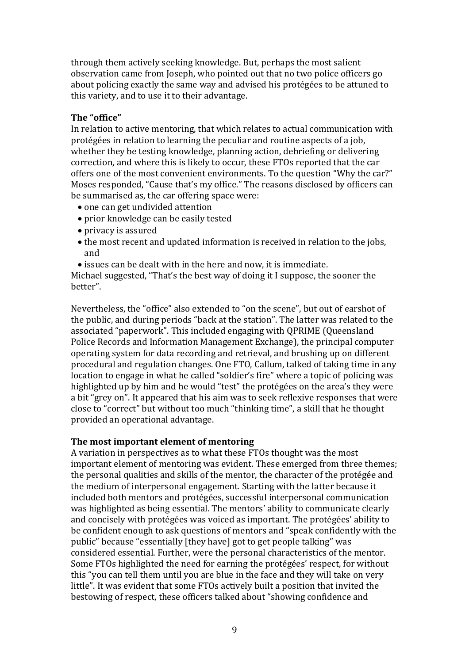through them actively seeking knowledge. But, perhaps the most salient observation came from Joseph, who pointed out that no two police officers go about policing exactly the same way and advised his protégées to be attuned to this variety, and to use it to their advantage.

#### **The "office"**

In relation to active mentoring, that which relates to actual communication with protégées in relation to learning the peculiar and routine aspects of a job, whether they be testing knowledge, planning action, debriefing or delivering correction, and where this is likely to occur, these FTOs reported that the car offers one of the most convenient environments. To the question "Why the car?" Moses responded, "Cause that's my office." The reasons disclosed by officers can be summarised as, the car offering space were:

- one can get undivided attention
- prior knowledge can be easily tested
- privacy is assured
- the most recent and updated information is received in relation to the jobs, and
- issues can be dealt with in the here and now, it is immediate.

Michael suggested, "That's the best way of doing it I suppose, the sooner the better".

Nevertheless, the "office" also extended to "on the scene", but out of earshot of the public, and during periods "back at the station". The latter was related to the associated "paperwork". This included engaging with QPRIME (Queensland Police Records and Information Management Exchange), the principal computer operating system for data recording and retrieval, and brushing up on different procedural and regulation changes. One FTO, Callum, talked of taking time in any location to engage in what he called "soldier's fire" where a topic of policing was highlighted up by him and he would "test" the protégées on the area's they were a bit "grey on". It appeared that his aim was to seek reflexive responses that were close to "correct" but without too much "thinking time", a skill that he thought provided an operational advantage.

#### **The most important element of mentoring**

A variation in perspectives as to what these FTOs thought was the most important element of mentoring was evident. These emerged from three themes; the personal qualities and skills of the mentor, the character of the protégée and the medium of interpersonal engagement. Starting with the latter because it included both mentors and protégées, successful interpersonal communication was highlighted as being essential. The mentors' ability to communicate clearly and concisely with protégées was voiced as important. The protégées' ability to be confident enough to ask questions of mentors and "speak confidently with the public" because "essentially [they have] got to get people talking" was considered essential. Further, were the personal characteristics of the mentor. Some FTOs highlighted the need for earning the protégées' respect, for without this "you can tell them until you are blue in the face and they will take on very little". It was evident that some FTOs actively built a position that invited the bestowing of respect, these officers talked about "showing confidence and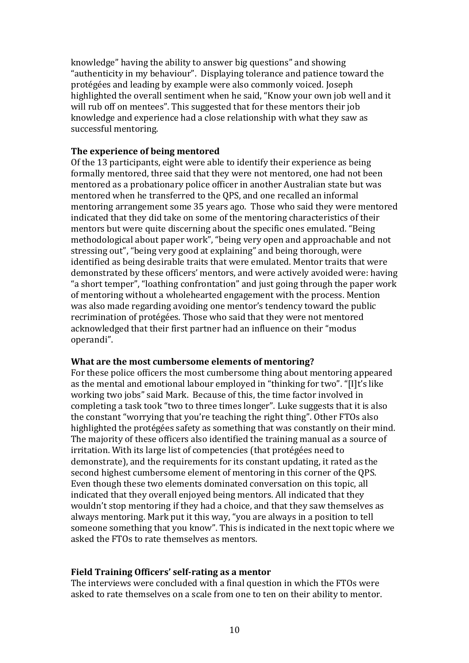knowledge" having the ability to answer big questions" and showing "authenticity in my behaviour". Displaying tolerance and patience toward the protégées and leading by example were also commonly voiced. Joseph highlighted the overall sentiment when he said, "Know your own job well and it will rub off on mentees". This suggested that for these mentors their job knowledge and experience had a close relationship with what they saw as successful mentoring.

#### **The experience of being mentored**

Of the 13 participants, eight were able to identify their experience as being formally mentored, three said that they were not mentored, one had not been mentored as a probationary police officer in another Australian state but was mentored when he transferred to the QPS, and one recalled an informal mentoring arrangement some 35 years ago. Those who said they were mentored indicated that they did take on some of the mentoring characteristics of their mentors but were quite discerning about the specific ones emulated. "Being methodological about paper work", "being very open and approachable and not stressing out", "being very good at explaining" and being thorough, were identified as being desirable traits that were emulated. Mentor traits that were demonstrated by these officers' mentors, and were actively avoided were: having "a short temper", "loathing confrontation" and just going through the paper work of mentoring without a wholehearted engagement with the process. Mention was also made regarding avoiding one mentor's tendency toward the public recrimination of protégées. Those who said that they were not mentored acknowledged that their first partner had an influence on their "modus operandi".

#### **What are the most cumbersome elements of mentoring?**

For these police officers the most cumbersome thing about mentoring appeared as the mental and emotional labour employed in "thinking for two". "[I]t's like working two jobs" said Mark. Because of this, the time factor involved in completing a task took "two to three times longer". Luke suggests that it is also the constant "worrying that you're teaching the right thing". Other FTOs also highlighted the protégées safety as something that was constantly on their mind. The majority of these officers also identified the training manual as a source of irritation. With its large list of competencies (that protégées need to demonstrate), and the requirements for its constant updating, it rated as the second highest cumbersome element of mentoring in this corner of the QPS. Even though these two elements dominated conversation on this topic, all indicated that they overall enjoyed being mentors. All indicated that they wouldn't stop mentoring if they had a choice, and that they saw themselves as always mentoring. Mark put it this way, "you are always in a position to tell someone something that you know". This is indicated in the next topic where we asked the FTOs to rate themselves as mentors.

#### **Field Training Officers' self-rating as a mentor**

The interviews were concluded with a final question in which the FTOs were asked to rate themselves on a scale from one to ten on their ability to mentor.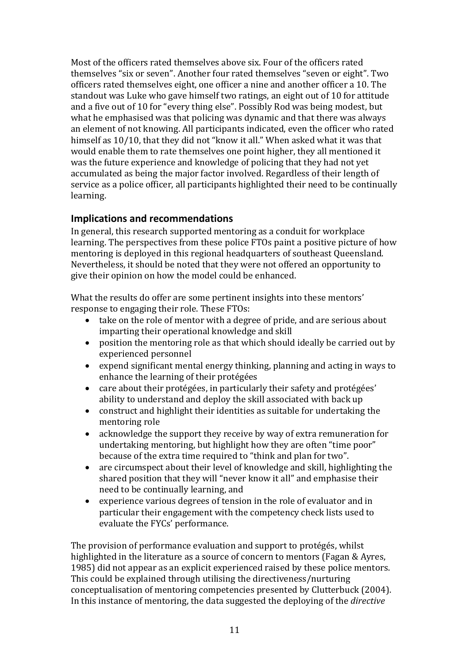Most of the officers rated themselves above six. Four of the officers rated themselves "six or seven". Another four rated themselves "seven or eight". Two officers rated themselves eight, one officer a nine and another officer a 10. The standout was Luke who gave himself two ratings, an eight out of 10 for attitude and a five out of 10 for "every thing else". Possibly Rod was being modest, but what he emphasised was that policing was dynamic and that there was always an element of not knowing. All participants indicated, even the officer who rated himself as 10/10, that they did not "know it all." When asked what it was that would enable them to rate themselves one point higher, they all mentioned it was the future experience and knowledge of policing that they had not yet accumulated as being the major factor involved. Regardless of their length of service as a police officer, all participants highlighted their need to be continually learning.

## **Implications and recommendations**

In general, this research supported mentoring as a conduit for workplace learning. The perspectives from these police FTOs paint a positive picture of how mentoring is deployed in this regional headquarters of southeast Queensland. Nevertheless, it should be noted that they were not offered an opportunity to give their opinion on how the model could be enhanced.

What the results do offer are some pertinent insights into these mentors' response to engaging their role. These FTOs:

- take on the role of mentor with a degree of pride, and are serious about imparting their operational knowledge and skill
- position the mentoring role as that which should ideally be carried out by experienced personnel
- expend significant mental energy thinking, planning and acting in ways to enhance the learning of their protégées
- care about their protégées, in particularly their safety and protégées' ability to understand and deploy the skill associated with back up
- construct and highlight their identities as suitable for undertaking the mentoring role
- acknowledge the support they receive by way of extra remuneration for undertaking mentoring, but highlight how they are often "time poor" because of the extra time required to "think and plan for two".
- are circumspect about their level of knowledge and skill, highlighting the shared position that they will "never know it all" and emphasise their need to be continually learning, and
- experience various degrees of tension in the role of evaluator and in particular their engagement with the competency check lists used to evaluate the FYCs' performance.

The provision of performance evaluation and support to protégés, whilst highlighted in the literature as a source of concern to mentors (Fagan & Ayres, 1985) did not appear as an explicit experienced raised by these police mentors. This could be explained through utilising the directiveness/nurturing conceptualisation of mentoring competencies presented by Clutterbuck (2004). In this instance of mentoring, the data suggested the deploying of the *directive*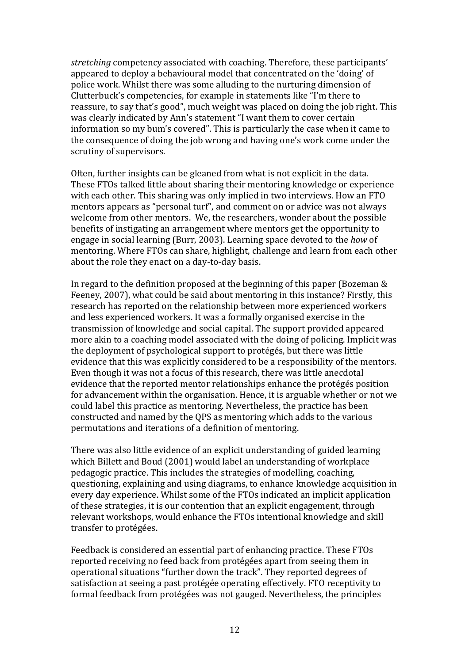*stretching* competency associated with coaching. Therefore, these participants' appeared to deploy a behavioural model that concentrated on the 'doing' of police work. Whilst there was some alluding to the nurturing dimension of Clutterbuck's competencies, for example in statements like "I'm there to reassure, to say that's good", much weight was placed on doing the job right. This was clearly indicated by Ann's statement "I want them to cover certain information so my bum's covered". This is particularly the case when it came to the consequence of doing the job wrong and having one's work come under the scrutiny of supervisors.

Often, further insights can be gleaned from what is not explicit in the data. These FTOs talked little about sharing their mentoring knowledge or experience with each other. This sharing was only implied in two interviews. How an FTO mentors appears as "personal turf", and comment on or advice was not always welcome from other mentors. We, the researchers, wonder about the possible benefits of instigating an arrangement where mentors get the opportunity to engage in social learning (Burr, 2003). Learning space devoted to the *how* of mentoring. Where FTOs can share, highlight, challenge and learn from each other about the role they enact on a day-to-day basis.

In regard to the definition proposed at the beginning of this paper (Bozeman & Feeney, 2007), what could be said about mentoring in this instance? Firstly, this research has reported on the relationship between more experienced workers and less experienced workers. It was a formally organised exercise in the transmission of knowledge and social capital. The support provided appeared more akin to a coaching model associated with the doing of policing. Implicit was the deployment of psychological support to protégés, but there was little evidence that this was explicitly considered to be a responsibility of the mentors. Even though it was not a focus of this research, there was little anecdotal evidence that the reported mentor relationships enhance the protégés position for advancement within the organisation. Hence, it is arguable whether or not we could label this practice as mentoring. Nevertheless, the practice has been constructed and named by the QPS as mentoring which adds to the various permutations and iterations of a definition of mentoring.

There was also little evidence of an explicit understanding of guided learning which Billett and Boud (2001) would label an understanding of workplace pedagogic practice. This includes the strategies of modelling, coaching, questioning, explaining and using diagrams, to enhance knowledge acquisition in every day experience. Whilst some of the FTOs indicated an implicit application of these strategies, it is our contention that an explicit engagement, through relevant workshops, would enhance the FTOs intentional knowledge and skill transfer to protégées.

Feedback is considered an essential part of enhancing practice. These FTOs reported receiving no feed back from protégées apart from seeing them in operational situations "further down the track". They reported degrees of satisfaction at seeing a past protégée operating effectively. FTO receptivity to formal feedback from protégées was not gauged. Nevertheless, the principles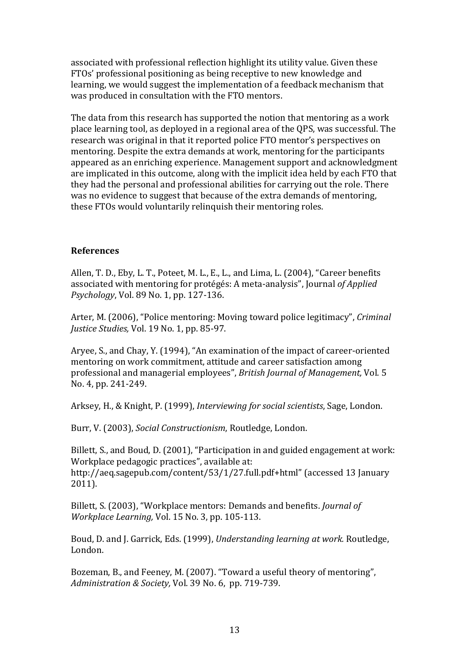associated with professional reflection highlight its utility value. Given these FTOs' professional positioning as being receptive to new knowledge and learning, we would suggest the implementation of a feedback mechanism that was produced in consultation with the FTO mentors.

The data from this research has supported the notion that mentoring as a work place learning tool, as deployed in a regional area of the QPS, was successful. The research was original in that it reported police FTO mentor's perspectives on mentoring. Despite the extra demands at work, mentoring for the participants appeared as an enriching experience. Management support and acknowledgment are implicated in this outcome, along with the implicit idea held by each FTO that they had the personal and professional abilities for carrying out the role. There was no evidence to suggest that because of the extra demands of mentoring, these FTOs would voluntarily relinquish their mentoring roles.

#### **References**

Allen, T. D., Eby, L. T., Poteet, M. L., E., L., and Lima, L. (2004), "Career benefits associated with mentoring for protégés: A meta-analysis", Journal *of Applied Psychology*, Vol. 89 No. 1, pp. 127-136.

Arter, M. (2006), "Police mentoring: Moving toward police legitimacy", *Criminal Justice Studies,* Vol. 19 No. 1, pp. 85-97.

Aryee, S., and Chay, Y. (1994), "An examination of the impact of career-oriented mentoring on work commitment, attitude and career satisfaction among professional and managerial employees", *British Journal of Management,* Vol. 5 No. 4, pp. 241-249.

Arksey, H., & Knight, P. (1999), *Interviewing for social scientists*, Sage, London.

Burr, V. (2003), *Social Constructionism*, Routledge, London.

Billett, S., and Boud, D. (2001), "Participation in and guided engagement at work: Workplace pedagogic practices", available at: <http://aeq.sagepub.com/content/53/1/27.full.pdf+html>" (accessed 13 January 2011).

Billett, S. (2003), "Workplace mentors: Demands and benefits. *Journal of Workplace Learning,* Vol. 15 No. 3, pp. 105-113.

Boud, D. and J. Garrick, Eds. (1999), *Understanding learning at work.* Routledge, London.

Bozeman, B., and Feeney, M. (2007). "Toward a useful theory of mentoring", *Administration & Society,* Vol. 39 No. 6, pp. 719-739.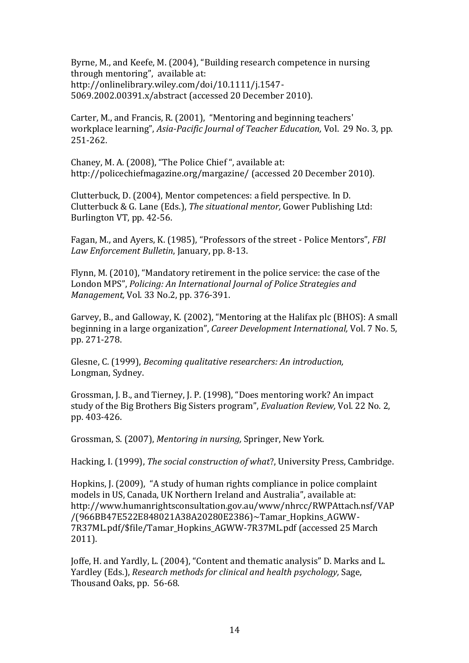Byrne, M., and Keefe, M. (2004), "Building research competence in nursing through mentoring", available at: http://onlinelibrary.wiley.com/doi/10.1111/j.1547- 5069.2002.00391.x/abstract (accessed 20 December 2010).

Carter, M., and Francis, R. (2001), "Mentoring and beginning teachers' workplace learning", *Asia-Pacific Journal of Teacher Education,* Vol. 29 No. 3, pp. 251-262.

Chaney, M. A. (2008), "The Police Chief ", available at: http://policechiefmagazine.org/margazine/ (accessed 20 December 2010).

Clutterbuck, D. (2004), Mentor competences: a field perspective. In D. Clutterbuck & G. Lane (Eds.), *The situational mentor,* Gower Publishing Ltd: Burlington VT, pp. 42-56.

Fagan, M., and Ayers, K. (1985), "Professors of the street - Police Mentors", *FBI Law Enforcement Bulletin*, January, pp. 8-13.

Flynn, M. (2010), "Mandatory retirement in the police service: the case of the London MPS", *Policing: An International Journal of Police Strategies and Management,* Vol. 33 No.2, pp. 376-391.

Garvey, B., and Galloway, K. (2002), "Mentoring at the Halifax plc (BHOS): A small beginning in a large organization", *Career Development International,* Vol. 7 No. 5, pp. 271-278.

Glesne, C. (1999), *Becoming qualitative researchers: An introduction,* Longman, Sydney.

Grossman, J. B., and Tierney, J. P. (1998), "Does mentoring work? An impact study of the Big Brothers Big Sisters program", *Evaluation Review,* Vol. 22 No. 2, pp. 403-426.

Grossman, S. (2007), *Mentoring in nursing,* Springer, New York.

Hacking, I. (1999), *The social construction of what*?, University Press, Cambridge.

Hopkins, J. (2009), "A study of human rights compliance in police complaint models in US, Canada, UK Northern Ireland and Australia", available at: [http://www.humanrightsconsultation.gov.au/www/nhrcc/RWPAttach.nsf/VAP](http://www.humanrightsconsultation.gov.au/www/nhrcc/RWPAttach.nsf/VAP/(966BB47E522E848021A38A20280E2386)~Tamar_Hopkins_AGWW-7R37ML.pdf/$file/Tamar_Hopkins_AGWW-7R37ML.pdf) [/\(966BB47E522E848021A38A20280E2386\)~Tamar\\_Hopkins\\_AGWW-](http://www.humanrightsconsultation.gov.au/www/nhrcc/RWPAttach.nsf/VAP/(966BB47E522E848021A38A20280E2386)~Tamar_Hopkins_AGWW-7R37ML.pdf/$file/Tamar_Hopkins_AGWW-7R37ML.pdf)[7R37ML.pdf/\\$file/Tamar\\_Hopkins\\_AGWW-7R37ML.pdf](http://www.humanrightsconsultation.gov.au/www/nhrcc/RWPAttach.nsf/VAP/(966BB47E522E848021A38A20280E2386)~Tamar_Hopkins_AGWW-7R37ML.pdf/$file/Tamar_Hopkins_AGWW-7R37ML.pdf) (accessed 25 March 2011).

Joffe, H. and Yardly, L. (2004), "Content and thematic analysis" D. Marks and L. Yardley (Eds.), *Research methods for clinical and health psychology,* Sage, Thousand Oaks, pp. 56-68.